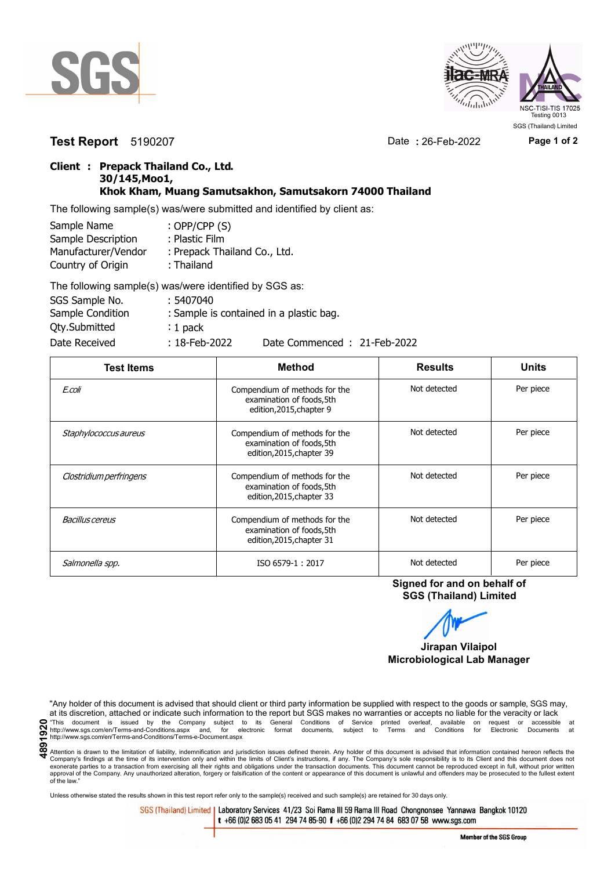



**Test Report** 5190207 Date **:** 26-Feb-2022 **Page 1 of 2**

## **Client : Prepack Thailand Co., Ltd. 30/145,Moo1, Khok Kham, Muang Samutsakhon, Samutsakorn 74000 Thailand**

The following sample(s) was/were submitted and identified by client as:

| Sample Name         | : OPP/CPP $(S)$              |
|---------------------|------------------------------|
| Sample Description  | : Plastic Film               |
| Manufacturer/Vendor | : Prepack Thailand Co., Ltd. |
| Country of Origin   | : Thailand                   |
|                     |                              |

| The following sample(s) was/were identified by SGS as: |                  |                                         |
|--------------------------------------------------------|------------------|-----------------------------------------|
| SGS Sample No.                                         | : 5407040        |                                         |
| Sample Condition                                       |                  | : Sample is contained in a plastic bag. |
| <b>Qty.Submitted</b>                                   | $: 1$ pack       |                                         |
| Date Received                                          | $: 18$ -Feb-2022 | Date Commenced: 21-Feb-2022             |

| <b>Test Items</b>       | <b>Method</b>                                                                           | <b>Results</b> | <b>Units</b> |
|-------------------------|-----------------------------------------------------------------------------------------|----------------|--------------|
| E.coli                  | Compendium of methods for the<br>examination of foods, 5th<br>edition, 2015, chapter 9  | Not detected   | Per piece    |
| Staphylococcus aureus   | Compendium of methods for the<br>examination of foods, 5th<br>edition, 2015, chapter 39 | Not detected   | Per piece    |
| Clostridium perfringens | Compendium of methods for the<br>examination of foods, 5th<br>edition, 2015, chapter 33 | Not detected   | Per piece    |
| Bacillus cereus         | Compendium of methods for the<br>examination of foods, 5th<br>edition, 2015, chapter 31 | Not detected   | Per piece    |
| Salmonella spp.         | ISO 6579-1:2017                                                                         | Not detected   | Per piece    |

**Signed for and on behalf of SGS (Thailand) Limited**



"Any holder of this document is advised that should client or third party information be supplied with respect to the goods or sample, SGS may, at its discretion, attached or indicate such information to the report but SGS makes no warranties or accepts no liable for the veracity or lack This document is issued by the Company subject to its General Conditions of Service printed overleaf, available on request or accessible at the entropy.//www.sgs.com/en/Terms-and-Conditions.aspx and, for electronic format http://www.sgs.com/en/Terms-and-Conditions/Terms-e-Document.aspx

Attention is drawn to the limitation of liability, indemnification and jurisdiction issues defined therein. Any holder of this document is advised that information contained hereon reflects the Company's findings at the time of its intervention only and within the limits of Client's instructions, if any. The Company's sole responsibility is to its Client and this document does not<br>exonerate parties to a transacti approval of the Company. Any unauthorized alteration, forgery or falsification of the content or appearance of this document is unlawful and offenders may be prosecuted to the fullest extent approval of the Company. Any un of the law."

Unless otherwise stated the results shown in this test report refer only to the sample(s) received and such sample(s) are retained for 30 days only.

SGS (Thailand) Limited | Laboratory Services 41/23 Soi Rama III 59 Rama III Road Chongnonsee Yannawa Bangkok 10120 t +66 (0)2 683 05 41 294 74 85-90 f +66 (0)2 294 74 84 683 07 58 www.sgs.com